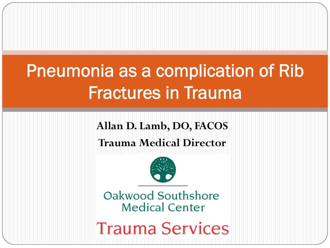# Pneumonia as a complication of Rib Fractures in Trauma

### **Allan D. Lamb, DO, FACOS**

### **Trauma Medical Director**



Oakwood Southshore **Medical Center** 

**Trauma Services**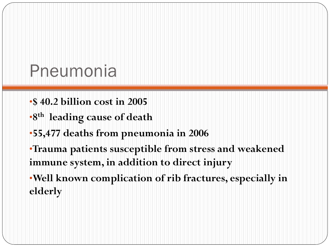### Pneumonia

- •**\$ 40.2 billion cost in 2005**
- •**8th leading cause of death**
- •**55,477 deaths from pneumonia in 2006**
- •**Trauma patients susceptible from stress and weakened immune system, in addition to direct injury**
- •**Well known complication of rib fractures, especially in elderly**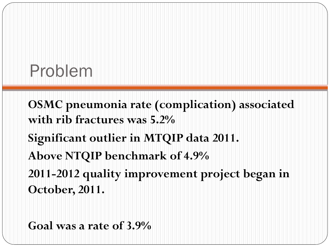## Problem

**OSMC pneumonia rate (complication) associated with rib fractures was 5.2% Significant outlier in MTQIP data 2011. Above NTQIP benchmark of 4.9% 2011-2012 quality improvement project began in October, 2011.** 

**Goal was a rate of 3.9%**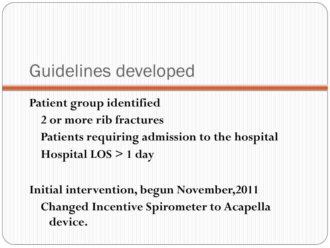## Guidelines developed

**Patient group identified 2 or more rib fractures Patients requiring admission to the hospital Hospital LOS > 1 day** 

**Initial intervention, begun November,2011 Changed Incentive Spirometer to Acapella device.**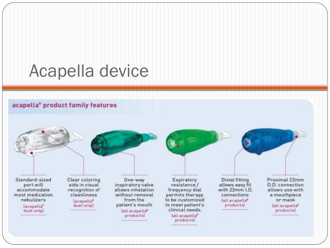## Acapella device

#### acapella® product family features

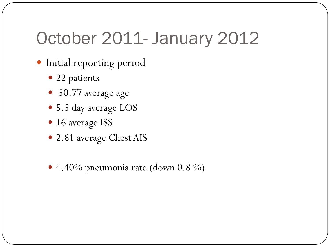## October 2011- January 2012

- **.** Initial reporting period
	- 22 patients
	- 50.77 average age
	- 5.5 day average LOS
	- 16 average ISS
	- 2.81 average Chest AIS
	- $\bullet$  4.40% pneumonia rate (down 0.8 %)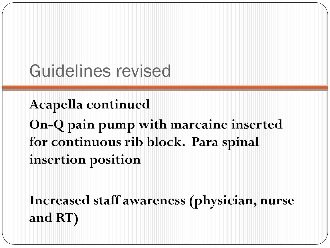## Guidelines revised

**Acapella continued On-Q pain pump with marcaine inserted for continuous rib block. Para spinal insertion position** 

**Increased staff awareness (physician, nurse and RT)**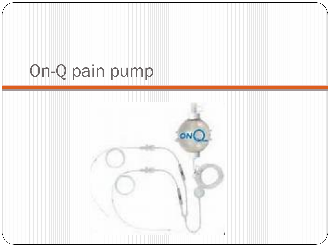## On-Q pain pump

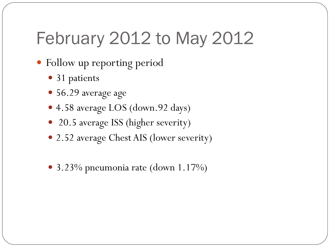## February 2012 to May 2012

- Follow up reporting period
	- 31 patients
	- 56.29 average age
	- 4.58 average LOS (down.92 days)
	- 20.5 average ISS (higher severity)
	- 2.52 average Chest AIS (lower severity)
	- 3.23% pneumonia rate (down 1.17%)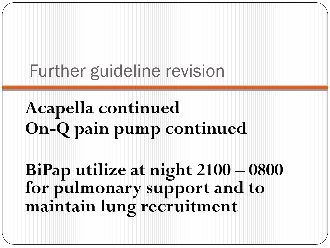Further guideline revision

**Acapella continued On-Q pain pump continued** 

**BiPap utilize at night 2100 – 0800 for pulmonary support and to maintain lung recruitment**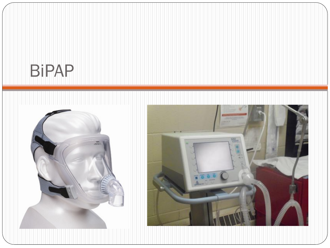## BiPAP



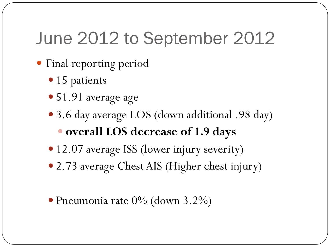## June 2012 to September 2012

- Final reporting period
	- 15 patients
	- 51.91 average age
	- ! 3.6 day average LOS (down additional .98 day) ! **overall LOS decrease of 1.9 days**
	- 12.07 average ISS (lower injury severity)
	- 2.73 average Chest AIS (Higher chest injury)
	- $\bullet$  Pneumonia rate 0% (down 3.2%)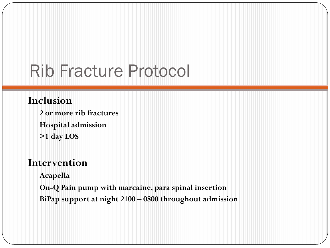## Rib Fracture Protocol

#### **Inclusion**

**2 or more rib fractures Hospital admission >1 day LOS** 

### **Intervention**

**Acapella** 

**On-Q Pain pump with marcaine, para spinal insertion BiPap support at night 2100 – 0800 throughout admission**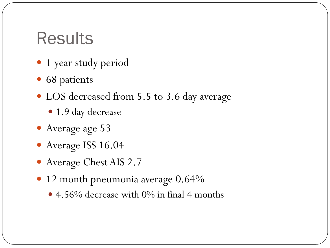## **Results**

- 1 year study period
- 68 patients
- LOS decreased from 5.5 to 3.6 day average
	- 1.9 day decrease
- Average age 53
- $\bullet$  Average ISS 16.04
- $\bullet$  Average Chest AIS 2.7
- · 12 month pneumonia average 0.64%
	- 4.56% decrease with 0% in final 4 months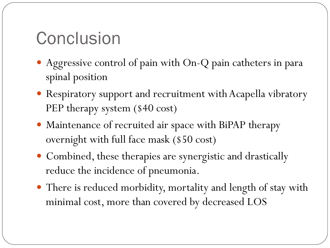## Conclusion

- ! Aggressive control of pain with On-Q pain catheters in para spinal position
- Respiratory support and recruitment with Acapella vibratory PEP therapy system (\$40 cost)
- ! Maintenance of recruited air space with BiPAP therapy overnight with full face mask (\$50 cost)
- ! Combined, these therapies are synergistic and drastically reduce the incidence of pneumonia.
- There is reduced morbidity, mortality and length of stay with minimal cost, more than covered by decreased LOS